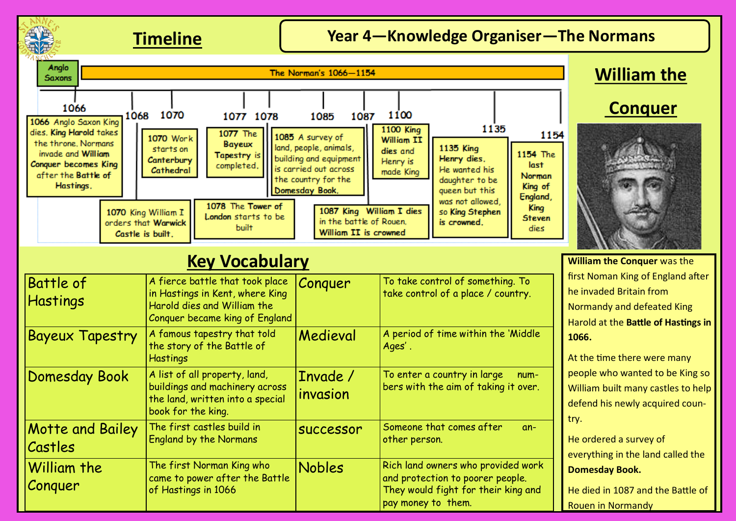